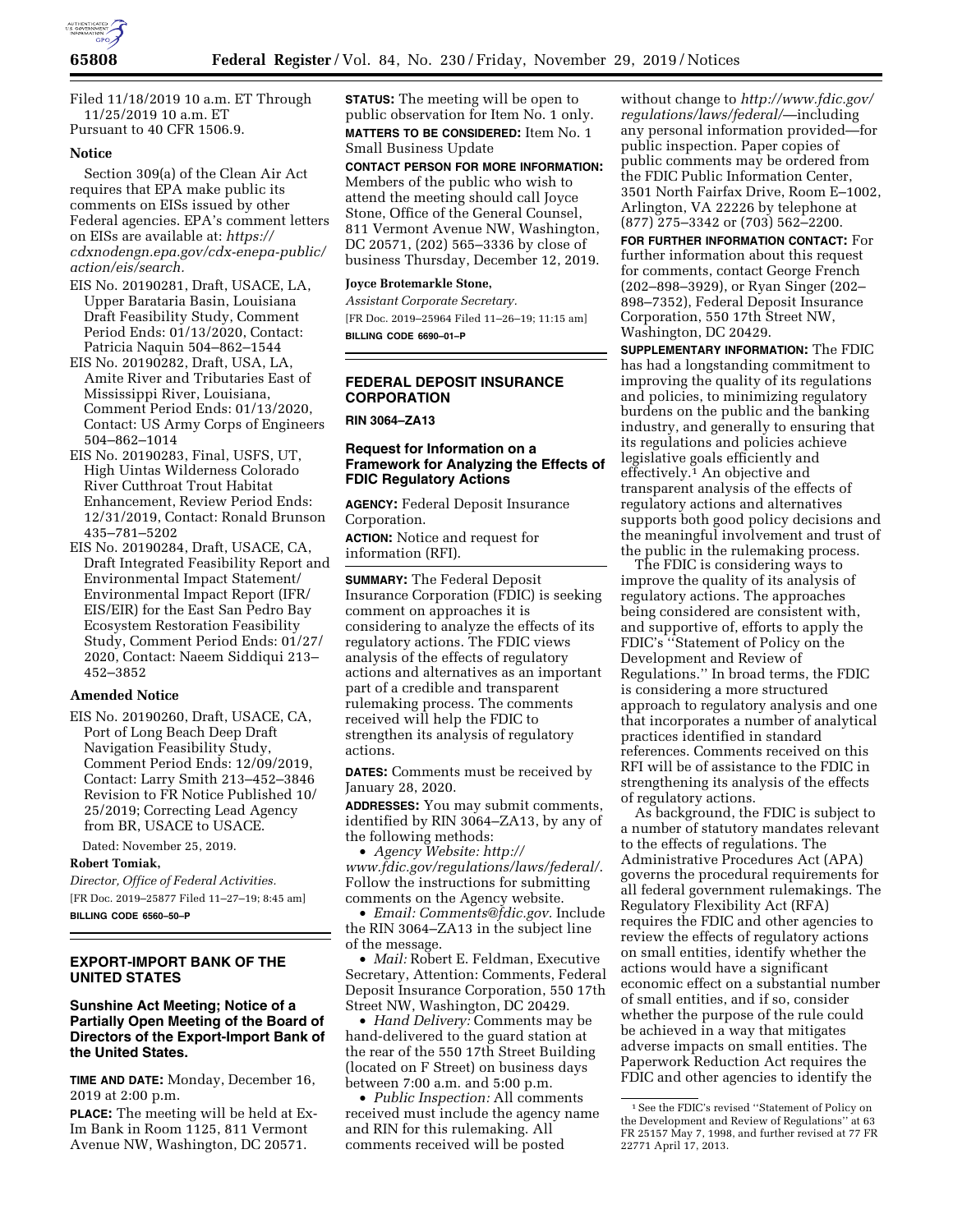

Filed 11/18/2019 10 a.m. ET Through 11/25/2019 10 a.m. ET Pursuant to 40 CFR 1506.9.

#### **Notice**

Section 309(a) of the Clean Air Act requires that EPA make public its comments on EISs issued by other Federal agencies. EPA's comment letters on EISs are available at: *[https://](https://cdxnodengn.epa.gov/cdx-enepa-public/action/eis/search)  [cdxnodengn.epa.gov/cdx-enepa-public/](https://cdxnodengn.epa.gov/cdx-enepa-public/action/eis/search) [action/eis/search.](https://cdxnodengn.epa.gov/cdx-enepa-public/action/eis/search)* 

- EIS No. 20190281, Draft, USACE, LA, Upper Barataria Basin, Louisiana Draft Feasibility Study, Comment Period Ends: 01/13/2020, Contact: Patricia Naquin 504–862–1544
- EIS No. 20190282, Draft, USA, LA, Amite River and Tributaries East of Mississippi River, Louisiana, Comment Period Ends: 01/13/2020, Contact: US Army Corps of Engineers 504–862–1014
- EIS No. 20190283, Final, USFS, UT, High Uintas Wilderness Colorado River Cutthroat Trout Habitat Enhancement, Review Period Ends: 12/31/2019, Contact: Ronald Brunson 435–781–5202
- EIS No. 20190284, Draft, USACE, CA, Draft Integrated Feasibility Report and Environmental Impact Statement/ Environmental Impact Report (IFR/ EIS/EIR) for the East San Pedro Bay Ecosystem Restoration Feasibility Study, Comment Period Ends: 01/27/ 2020, Contact: Naeem Siddiqui 213– 452–3852

### **Amended Notice**

EIS No. 20190260, Draft, USACE, CA, Port of Long Beach Deep Draft Navigation Feasibility Study, Comment Period Ends: 12/09/2019, Contact: Larry Smith 213–452–3846 Revision to FR Notice Published 10/ 25/2019; Correcting Lead Agency from BR, USACE to USACE.

Dated: November 25, 2019.

**Robert Tomiak,** 

*Director, Office of Federal Activities.*  [FR Doc. 2019–25877 Filed 11–27–19; 8:45 am]

**BILLING CODE 6560–50–P** 

# **EXPORT-IMPORT BANK OF THE UNITED STATES**

### **Sunshine Act Meeting; Notice of a Partially Open Meeting of the Board of Directors of the Export-Import Bank of the United States.**

**TIME AND DATE:** Monday, December 16, 2019 at 2:00 p.m.

**PLACE:** The meeting will be held at Ex-Im Bank in Room 1125, 811 Vermont Avenue NW, Washington, DC 20571.

**STATUS:** The meeting will be open to public observation for Item No. 1 only. **MATTERS TO BE CONSIDERED:** Item No. 1 Small Business Update

**CONTACT PERSON FOR MORE INFORMATION:**  Members of the public who wish to attend the meeting should call Joyce Stone, Office of the General Counsel, 811 Vermont Avenue NW, Washington, DC 20571, (202) 565–3336 by close of business Thursday, December 12, 2019.

### **Joyce Brotemarkle Stone,**

*Assistant Corporate Secretary.*  [FR Doc. 2019–25964 Filed 11–26–19; 11:15 am] **BILLING CODE 6690–01–P** 

# **FEDERAL DEPOSIT INSURANCE CORPORATION**

**RIN 3064–ZA13** 

#### **Request for Information on a Framework for Analyzing the Effects of FDIC Regulatory Actions**

**AGENCY:** Federal Deposit Insurance Corporation.

**ACTION:** Notice and request for information (RFI).

**SUMMARY:** The Federal Deposit Insurance Corporation (FDIC) is seeking comment on approaches it is considering to analyze the effects of its regulatory actions. The FDIC views analysis of the effects of regulatory actions and alternatives as an important part of a credible and transparent rulemaking process. The comments received will help the FDIC to strengthen its analysis of regulatory actions.

**DATES:** Comments must be received by January 28, 2020.

**ADDRESSES:** You may submit comments, identified by RIN 3064–ZA13, by any of the following methods:

• *Agency Website: [http://](http://www.fdic.gov/regulations/laws/federal/) [www.fdic.gov/regulations/laws/federal/](http://www.fdic.gov/regulations/laws/federal/)*. Follow the instructions for submitting comments on the Agency website.

• *Email: [Comments@fdic.gov.](mailto:Comments@fdic.gov)* Include the RIN 3064–ZA13 in the subject line of the message.

• *Mail:* Robert E. Feldman, Executive Secretary, Attention: Comments, Federal Deposit Insurance Corporation, 550 17th Street NW, Washington, DC 20429.

• *Hand Delivery:* Comments may be hand-delivered to the guard station at the rear of the 550 17th Street Building (located on F Street) on business days between 7:00 a.m. and 5:00 p.m.

• *Public Inspection:* All comments received must include the agency name and RIN for this rulemaking. All comments received will be posted

without change to *[http://www.fdic.gov/](http://www.fdic.gov/regulations/laws/federal/) [regulations/laws/federal/](http://www.fdic.gov/regulations/laws/federal/)*—including any personal information provided—for public inspection. Paper copies of public comments may be ordered from the FDIC Public Information Center, 3501 North Fairfax Drive, Room E–1002, Arlington, VA 22226 by telephone at (877) 275–3342 or (703) 562–2200.

**FOR FURTHER INFORMATION CONTACT:** For further information about this request for comments, contact George French (202–898–3929), or Ryan Singer (202– 898–7352), Federal Deposit Insurance Corporation, 550 17th Street NW, Washington, DC 20429.

**SUPPLEMENTARY INFORMATION:** The FDIC has had a longstanding commitment to improving the quality of its regulations and policies, to minimizing regulatory burdens on the public and the banking industry, and generally to ensuring that its regulations and policies achieve legislative goals efficiently and effectively.<sup>1</sup> An objective and transparent analysis of the effects of regulatory actions and alternatives supports both good policy decisions and the meaningful involvement and trust of the public in the rulemaking process.

The FDIC is considering ways to improve the quality of its analysis of regulatory actions. The approaches being considered are consistent with, and supportive of, efforts to apply the FDIC's ''Statement of Policy on the Development and Review of Regulations.'' In broad terms, the FDIC is considering a more structured approach to regulatory analysis and one that incorporates a number of analytical practices identified in standard references. Comments received on this RFI will be of assistance to the FDIC in strengthening its analysis of the effects of regulatory actions.

As background, the FDIC is subject to a number of statutory mandates relevant to the effects of regulations. The Administrative Procedures Act (APA) governs the procedural requirements for all federal government rulemakings. The Regulatory Flexibility Act (RFA) requires the FDIC and other agencies to review the effects of regulatory actions on small entities, identify whether the actions would have a significant economic effect on a substantial number of small entities, and if so, consider whether the purpose of the rule could be achieved in a way that mitigates adverse impacts on small entities. The Paperwork Reduction Act requires the FDIC and other agencies to identify the

<sup>1</sup>See the FDIC's revised ''Statement of Policy on the Development and Review of Regulations'' at 63 FR 25157 May 7, 1998, and further revised at 77 FR 22771 April 17, 2013.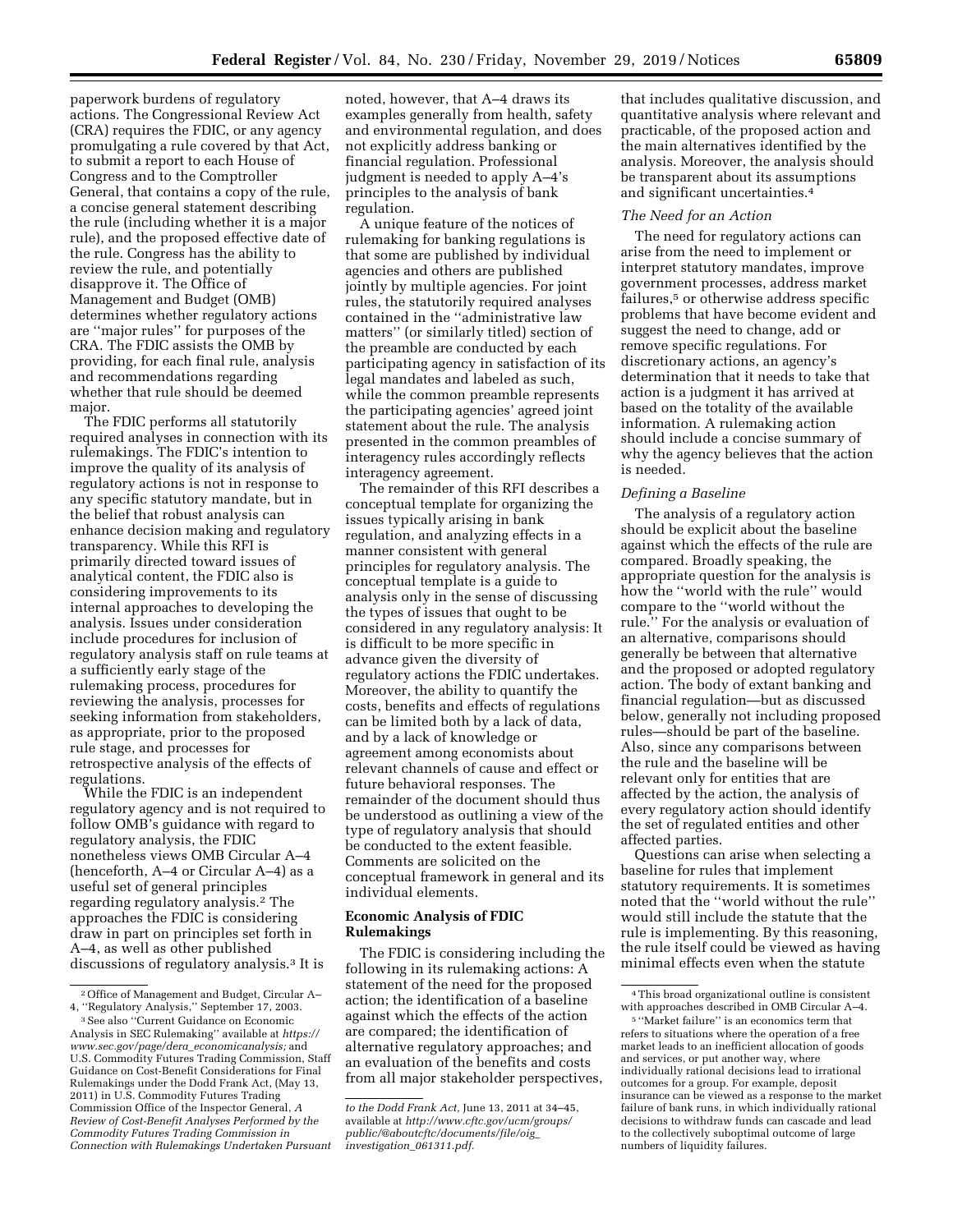paperwork burdens of regulatory actions. The Congressional Review Act (CRA) requires the FDIC, or any agency promulgating a rule covered by that Act, to submit a report to each House of Congress and to the Comptroller General, that contains a copy of the rule, a concise general statement describing the rule (including whether it is a major rule), and the proposed effective date of the rule. Congress has the ability to review the rule, and potentially disapprove it. The Office of Management and Budget (OMB) determines whether regulatory actions are ''major rules'' for purposes of the CRA. The FDIC assists the OMB by providing, for each final rule, analysis and recommendations regarding whether that rule should be deemed major.

The FDIC performs all statutorily required analyses in connection with its rulemakings. The FDIC's intention to improve the quality of its analysis of regulatory actions is not in response to any specific statutory mandate, but in the belief that robust analysis can enhance decision making and regulatory transparency. While this RFI is primarily directed toward issues of analytical content, the FDIC also is considering improvements to its internal approaches to developing the analysis. Issues under consideration include procedures for inclusion of regulatory analysis staff on rule teams at a sufficiently early stage of the rulemaking process, procedures for reviewing the analysis, processes for seeking information from stakeholders, as appropriate, prior to the proposed rule stage, and processes for retrospective analysis of the effects of regulations.

While the FDIC is an independent regulatory agency and is not required to follow OMB's guidance with regard to regulatory analysis, the FDIC nonetheless views OMB Circular A–4 (henceforth, A–4 or Circular A–4) as a useful set of general principles regarding regulatory analysis.2 The approaches the FDIC is considering draw in part on principles set forth in A–4, as well as other published discussions of regulatory analysis.3 It is

noted, however, that A–4 draws its examples generally from health, safety and environmental regulation, and does not explicitly address banking or financial regulation. Professional judgment is needed to apply A–4's principles to the analysis of bank regulation.

A unique feature of the notices of rulemaking for banking regulations is that some are published by individual agencies and others are published jointly by multiple agencies. For joint rules, the statutorily required analyses contained in the ''administrative law matters'' (or similarly titled) section of the preamble are conducted by each participating agency in satisfaction of its legal mandates and labeled as such, while the common preamble represents the participating agencies' agreed joint statement about the rule. The analysis presented in the common preambles of interagency rules accordingly reflects interagency agreement.

The remainder of this RFI describes a conceptual template for organizing the issues typically arising in bank regulation, and analyzing effects in a manner consistent with general principles for regulatory analysis. The conceptual template is a guide to analysis only in the sense of discussing the types of issues that ought to be considered in any regulatory analysis: It is difficult to be more specific in advance given the diversity of regulatory actions the FDIC undertakes. Moreover, the ability to quantify the costs, benefits and effects of regulations can be limited both by a lack of data, and by a lack of knowledge or agreement among economists about relevant channels of cause and effect or future behavioral responses. The remainder of the document should thus be understood as outlining a view of the type of regulatory analysis that should be conducted to the extent feasible. Comments are solicited on the conceptual framework in general and its individual elements.

# **Economic Analysis of FDIC Rulemakings**

The FDIC is considering including the following in its rulemaking actions: A statement of the need for the proposed action; the identification of a baseline against which the effects of the action are compared; the identification of alternative regulatory approaches; and an evaluation of the benefits and costs from all major stakeholder perspectives,

that includes qualitative discussion, and quantitative analysis where relevant and practicable, of the proposed action and the main alternatives identified by the analysis. Moreover, the analysis should be transparent about its assumptions and significant uncertainties.4

#### *The Need for an Action*

The need for regulatory actions can arise from the need to implement or interpret statutory mandates, improve government processes, address market failures,<sup>5</sup> or otherwise address specific problems that have become evident and suggest the need to change, add or remove specific regulations. For discretionary actions, an agency's determination that it needs to take that action is a judgment it has arrived at based on the totality of the available information. A rulemaking action should include a concise summary of why the agency believes that the action is needed.

#### *Defining a Baseline*

The analysis of a regulatory action should be explicit about the baseline against which the effects of the rule are compared. Broadly speaking, the appropriate question for the analysis is how the ''world with the rule'' would compare to the ''world without the rule.'' For the analysis or evaluation of an alternative, comparisons should generally be between that alternative and the proposed or adopted regulatory action. The body of extant banking and financial regulation—but as discussed below, generally not including proposed rules—should be part of the baseline. Also, since any comparisons between the rule and the baseline will be relevant only for entities that are affected by the action, the analysis of every regulatory action should identify the set of regulated entities and other affected parties.

Questions can arise when selecting a baseline for rules that implement statutory requirements. It is sometimes noted that the ''world without the rule'' would still include the statute that the rule is implementing. By this reasoning, the rule itself could be viewed as having minimal effects even when the statute

<sup>2</sup>Office of Management and Budget, Circular A– 4, ''Regulatory Analysis,'' September 17, 2003.

<sup>3</sup>See also ''Current Guidance on Economic Analysis in SEC Rulemaking'' available at *[https://](https://www.sec.gov/page/dera_economicanalysis) [www.sec.gov/page/dera](https://www.sec.gov/page/dera_economicanalysis)*\_*economicanalysis;* and U.S. Commodity Futures Trading Commission, Staff Guidance on Cost-Benefit Considerations for Final Rulemakings under the Dodd Frank Act, (May 13, 2011) in U.S. Commodity Futures Trading Commission Office of the Inspector General, *A Review of Cost-Benefit Analyses Performed by the Commodity Futures Trading Commission in Connection with Rulemakings Undertaken Pursuant* 

*to the Dodd Frank Act,* June 13, 2011 at 34–45, available at *[http://www.cftc.gov/ucm/groups/](http://www.cftc.gov/ucm/groups/public/@aboutcftc/documents/file/oig_investigation_061311.pdf)  [public/@aboutcftc/documents/file/oig](http://www.cftc.gov/ucm/groups/public/@aboutcftc/documents/file/oig_investigation_061311.pdf)*\_ *[investigation](http://www.cftc.gov/ucm/groups/public/@aboutcftc/documents/file/oig_investigation_061311.pdf)*\_*061311.pdf.* 

<sup>4</sup>This broad organizational outline is consistent with approaches described in OMB Circular A–4.

<sup>5</sup> ''Market failure'' is an economics term that refers to situations where the operation of a free market leads to an inefficient allocation of goods and services, or put another way, where individually rational decisions lead to irrational outcomes for a group. For example, deposit insurance can be viewed as a response to the market failure of bank runs, in which individually rational decisions to withdraw funds can cascade and lead to the collectively suboptimal outcome of large numbers of liquidity failures.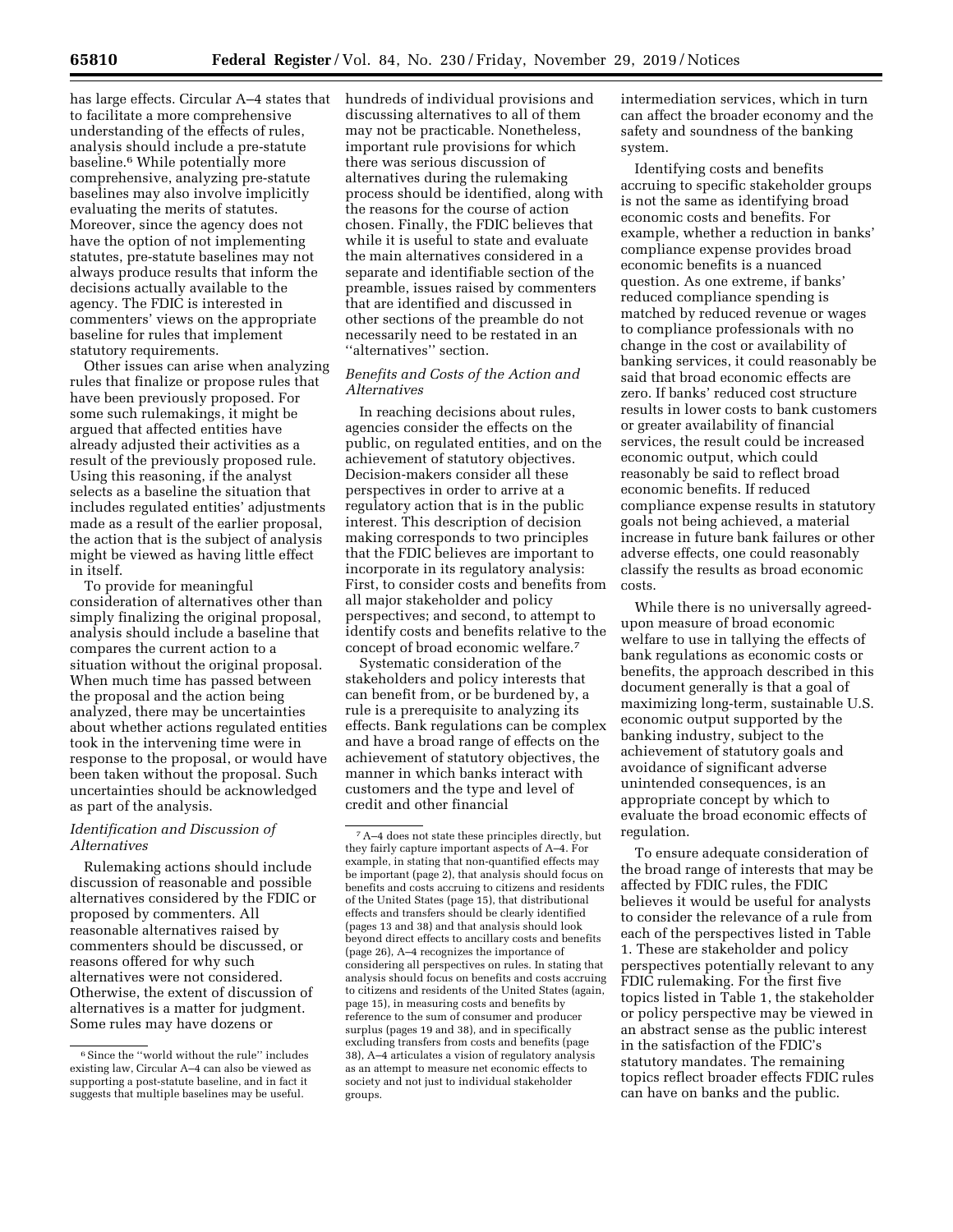has large effects. Circular A–4 states that to facilitate a more comprehensive understanding of the effects of rules, analysis should include a pre-statute baseline.6 While potentially more comprehensive, analyzing pre-statute baselines may also involve implicitly evaluating the merits of statutes. Moreover, since the agency does not have the option of not implementing statutes, pre-statute baselines may not always produce results that inform the decisions actually available to the agency. The FDIC is interested in commenters' views on the appropriate baseline for rules that implement statutory requirements.

Other issues can arise when analyzing rules that finalize or propose rules that have been previously proposed. For some such rulemakings, it might be argued that affected entities have already adjusted their activities as a result of the previously proposed rule. Using this reasoning, if the analyst selects as a baseline the situation that includes regulated entities' adjustments made as a result of the earlier proposal, the action that is the subject of analysis might be viewed as having little effect in itself.

To provide for meaningful consideration of alternatives other than simply finalizing the original proposal, analysis should include a baseline that compares the current action to a situation without the original proposal. When much time has passed between the proposal and the action being analyzed, there may be uncertainties about whether actions regulated entities took in the intervening time were in response to the proposal, or would have been taken without the proposal. Such uncertainties should be acknowledged as part of the analysis.

## *Identification and Discussion of Alternatives*

Rulemaking actions should include discussion of reasonable and possible alternatives considered by the FDIC or proposed by commenters. All reasonable alternatives raised by commenters should be discussed, or reasons offered for why such alternatives were not considered. Otherwise, the extent of discussion of alternatives is a matter for judgment. Some rules may have dozens or

hundreds of individual provisions and discussing alternatives to all of them may not be practicable. Nonetheless, important rule provisions for which there was serious discussion of alternatives during the rulemaking process should be identified, along with the reasons for the course of action chosen. Finally, the FDIC believes that while it is useful to state and evaluate the main alternatives considered in a separate and identifiable section of the preamble, issues raised by commenters that are identified and discussed in other sections of the preamble do not necessarily need to be restated in an ''alternatives'' section.

### *Benefits and Costs of the Action and Alternatives*

In reaching decisions about rules, agencies consider the effects on the public, on regulated entities, and on the achievement of statutory objectives. Decision-makers consider all these perspectives in order to arrive at a regulatory action that is in the public interest. This description of decision making corresponds to two principles that the FDIC believes are important to incorporate in its regulatory analysis: First, to consider costs and benefits from all major stakeholder and policy perspectives; and second, to attempt to identify costs and benefits relative to the concept of broad economic welfare.7

Systematic consideration of the stakeholders and policy interests that can benefit from, or be burdened by, a rule is a prerequisite to analyzing its effects. Bank regulations can be complex and have a broad range of effects on the achievement of statutory objectives, the manner in which banks interact with customers and the type and level of credit and other financial

intermediation services, which in turn can affect the broader economy and the safety and soundness of the banking system.

Identifying costs and benefits accruing to specific stakeholder groups is not the same as identifying broad economic costs and benefits. For example, whether a reduction in banks' compliance expense provides broad economic benefits is a nuanced question. As one extreme, if banks' reduced compliance spending is matched by reduced revenue or wages to compliance professionals with no change in the cost or availability of banking services, it could reasonably be said that broad economic effects are zero. If banks' reduced cost structure results in lower costs to bank customers or greater availability of financial services, the result could be increased economic output, which could reasonably be said to reflect broad economic benefits. If reduced compliance expense results in statutory goals not being achieved, a material increase in future bank failures or other adverse effects, one could reasonably classify the results as broad economic costs.

While there is no universally agreedupon measure of broad economic welfare to use in tallying the effects of bank regulations as economic costs or benefits, the approach described in this document generally is that a goal of maximizing long-term, sustainable U.S. economic output supported by the banking industry, subject to the achievement of statutory goals and avoidance of significant adverse unintended consequences, is an appropriate concept by which to evaluate the broad economic effects of regulation.

To ensure adequate consideration of the broad range of interests that may be affected by FDIC rules, the FDIC believes it would be useful for analysts to consider the relevance of a rule from each of the perspectives listed in Table 1. These are stakeholder and policy perspectives potentially relevant to any FDIC rulemaking. For the first five topics listed in Table 1, the stakeholder or policy perspective may be viewed in an abstract sense as the public interest in the satisfaction of the FDIC's statutory mandates. The remaining topics reflect broader effects FDIC rules can have on banks and the public.

<sup>&</sup>lt;sup>6</sup> Since the "world without the rule" includes existing law, Circular A–4 can also be viewed as supporting a post-statute baseline, and in fact it suggests that multiple baselines may be useful.

<sup>7</sup>A–4 does not state these principles directly, but they fairly capture important aspects of A–4. For example, in stating that non-quantified effects may be important (page 2), that analysis should focus on benefits and costs accruing to citizens and residents of the United States (page 15), that distributional effects and transfers should be clearly identified (pages 13 and 38) and that analysis should look beyond direct effects to ancillary costs and benefits (page 26), A–4 recognizes the importance of considering all perspectives on rules. In stating that analysis should focus on benefits and costs accruing to citizens and residents of the United States (again, page 15), in measuring costs and benefits by reference to the sum of consumer and producer surplus (pages 19 and 38), and in specifically excluding transfers from costs and benefits (page 38), A–4 articulates a vision of regulatory analysis as an attempt to measure net economic effects to society and not just to individual stakeholder groups.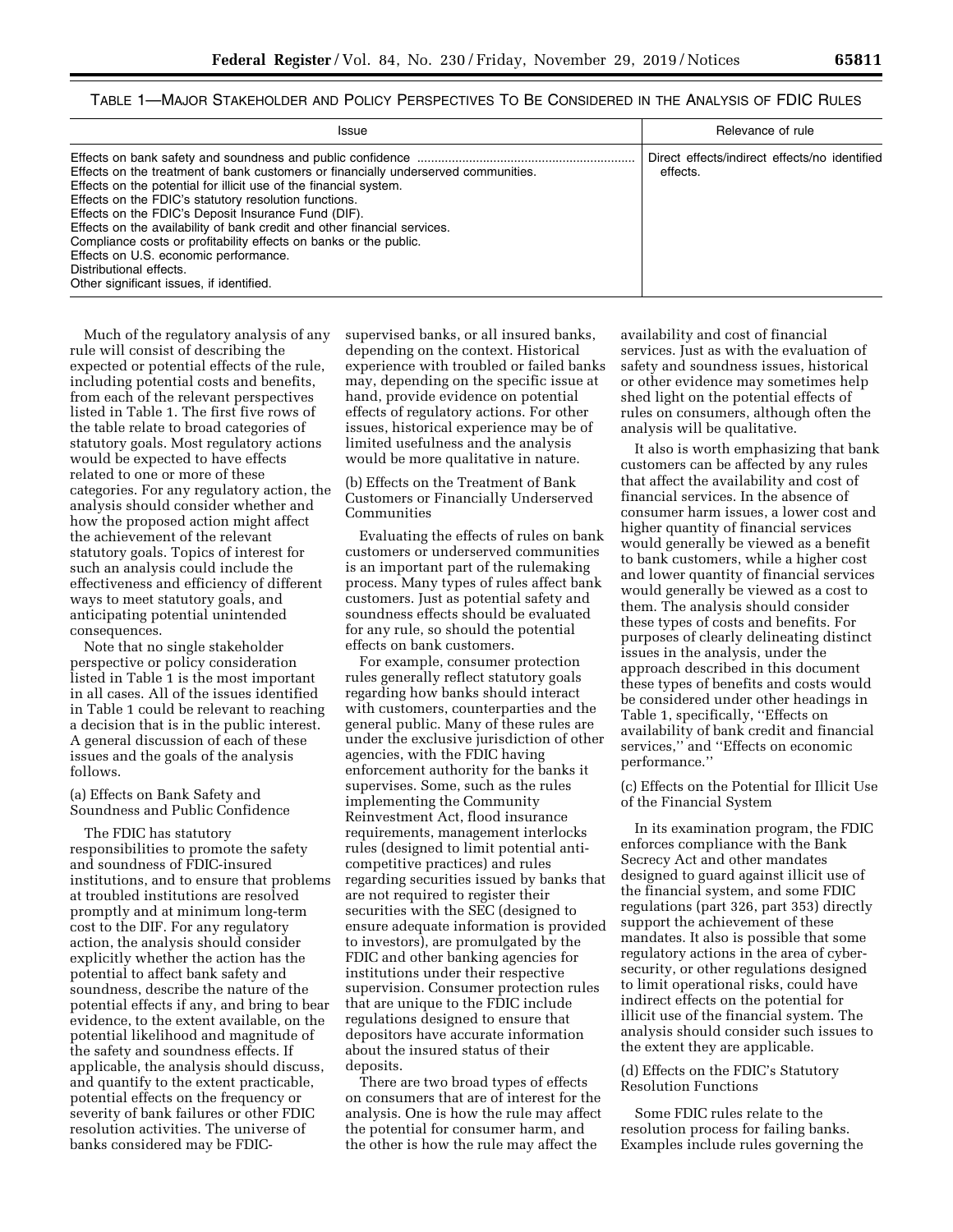# TABLE 1—MAJOR STAKEHOLDER AND POLICY PERSPECTIVES TO BE CONSIDERED IN THE ANALYSIS OF FDIC RULES

| <b>Issue</b>                                                                                                                                                                                                                                                                                                                                                                                                                                                                                                                             | Relevance of rule                                         |
|------------------------------------------------------------------------------------------------------------------------------------------------------------------------------------------------------------------------------------------------------------------------------------------------------------------------------------------------------------------------------------------------------------------------------------------------------------------------------------------------------------------------------------------|-----------------------------------------------------------|
| Effects on the treatment of bank customers or financially underserved communities.<br>Effects on the potential for illicit use of the financial system.<br>Effects on the FDIC's statutory resolution functions.<br>Effects on the FDIC's Deposit Insurance Fund (DIF).<br>Effects on the availability of bank credit and other financial services.<br>Compliance costs or profitability effects on banks or the public.<br>Effects on U.S. economic performance.<br>Distributional effects.<br>Other significant issues, if identified. | Direct effects/indirect effects/no identified<br>effects. |

Much of the regulatory analysis of any rule will consist of describing the expected or potential effects of the rule, including potential costs and benefits, from each of the relevant perspectives listed in Table 1. The first five rows of the table relate to broad categories of statutory goals. Most regulatory actions would be expected to have effects related to one or more of these categories. For any regulatory action, the analysis should consider whether and how the proposed action might affect the achievement of the relevant statutory goals. Topics of interest for such an analysis could include the effectiveness and efficiency of different ways to meet statutory goals, and anticipating potential unintended consequences.

Note that no single stakeholder perspective or policy consideration listed in Table 1 is the most important in all cases. All of the issues identified in Table 1 could be relevant to reaching a decision that is in the public interest. A general discussion of each of these issues and the goals of the analysis follows.

### (a) Effects on Bank Safety and Soundness and Public Confidence

The FDIC has statutory responsibilities to promote the safety and soundness of FDIC-insured institutions, and to ensure that problems at troubled institutions are resolved promptly and at minimum long-term cost to the DIF. For any regulatory action, the analysis should consider explicitly whether the action has the potential to affect bank safety and soundness, describe the nature of the potential effects if any, and bring to bear evidence, to the extent available, on the potential likelihood and magnitude of the safety and soundness effects. If applicable, the analysis should discuss, and quantify to the extent practicable, potential effects on the frequency or severity of bank failures or other FDIC resolution activities. The universe of banks considered may be FDIC-

supervised banks, or all insured banks, depending on the context. Historical experience with troubled or failed banks may, depending on the specific issue at hand, provide evidence on potential effects of regulatory actions. For other issues, historical experience may be of limited usefulness and the analysis would be more qualitative in nature.

(b) Effects on the Treatment of Bank Customers or Financially Underserved Communities

Evaluating the effects of rules on bank customers or underserved communities is an important part of the rulemaking process. Many types of rules affect bank customers. Just as potential safety and soundness effects should be evaluated for any rule, so should the potential effects on bank customers.

For example, consumer protection rules generally reflect statutory goals regarding how banks should interact with customers, counterparties and the general public. Many of these rules are under the exclusive jurisdiction of other agencies, with the FDIC having enforcement authority for the banks it supervises. Some, such as the rules implementing the Community Reinvestment Act, flood insurance requirements, management interlocks rules (designed to limit potential anticompetitive practices) and rules regarding securities issued by banks that are not required to register their securities with the SEC (designed to ensure adequate information is provided to investors), are promulgated by the FDIC and other banking agencies for institutions under their respective supervision. Consumer protection rules that are unique to the FDIC include regulations designed to ensure that depositors have accurate information about the insured status of their deposits.

There are two broad types of effects on consumers that are of interest for the analysis. One is how the rule may affect the potential for consumer harm, and the other is how the rule may affect the

availability and cost of financial services. Just as with the evaluation of safety and soundness issues, historical or other evidence may sometimes help shed light on the potential effects of rules on consumers, although often the analysis will be qualitative.

It also is worth emphasizing that bank customers can be affected by any rules that affect the availability and cost of financial services. In the absence of consumer harm issues, a lower cost and higher quantity of financial services would generally be viewed as a benefit to bank customers, while a higher cost and lower quantity of financial services would generally be viewed as a cost to them. The analysis should consider these types of costs and benefits. For purposes of clearly delineating distinct issues in the analysis, under the approach described in this document these types of benefits and costs would be considered under other headings in Table 1, specifically, ''Effects on availability of bank credit and financial services,'' and ''Effects on economic performance.''

(c) Effects on the Potential for Illicit Use of the Financial System

In its examination program, the FDIC enforces compliance with the Bank Secrecy Act and other mandates designed to guard against illicit use of the financial system, and some FDIC regulations (part 326, part 353) directly support the achievement of these mandates. It also is possible that some regulatory actions in the area of cybersecurity, or other regulations designed to limit operational risks, could have indirect effects on the potential for illicit use of the financial system. The analysis should consider such issues to the extent they are applicable.

#### (d) Effects on the FDIC's Statutory Resolution Functions

Some FDIC rules relate to the resolution process for failing banks. Examples include rules governing the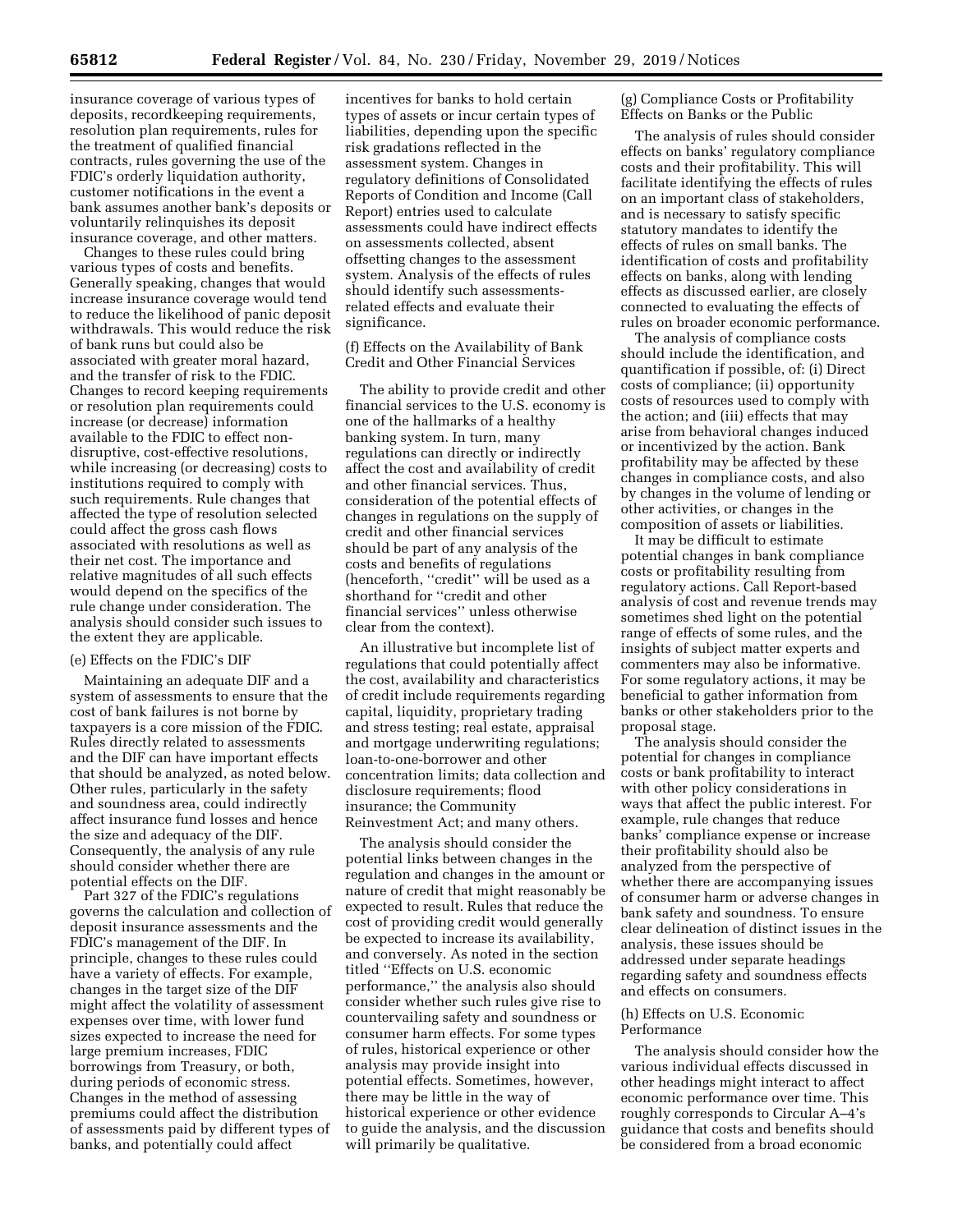insurance coverage of various types of deposits, recordkeeping requirements, resolution plan requirements, rules for the treatment of qualified financial contracts, rules governing the use of the FDIC's orderly liquidation authority, customer notifications in the event a bank assumes another bank's deposits or voluntarily relinquishes its deposit insurance coverage, and other matters.

Changes to these rules could bring various types of costs and benefits. Generally speaking, changes that would increase insurance coverage would tend to reduce the likelihood of panic deposit withdrawals. This would reduce the risk of bank runs but could also be associated with greater moral hazard, and the transfer of risk to the FDIC. Changes to record keeping requirements or resolution plan requirements could increase (or decrease) information available to the FDIC to effect nondisruptive, cost-effective resolutions, while increasing (or decreasing) costs to institutions required to comply with such requirements. Rule changes that affected the type of resolution selected could affect the gross cash flows associated with resolutions as well as their net cost. The importance and relative magnitudes of all such effects would depend on the specifics of the rule change under consideration. The analysis should consider such issues to the extent they are applicable.

#### (e) Effects on the FDIC's DIF

Maintaining an adequate DIF and a system of assessments to ensure that the cost of bank failures is not borne by taxpayers is a core mission of the FDIC. Rules directly related to assessments and the DIF can have important effects that should be analyzed, as noted below. Other rules, particularly in the safety and soundness area, could indirectly affect insurance fund losses and hence the size and adequacy of the DIF. Consequently, the analysis of any rule should consider whether there are potential effects on the DIF.

Part 327 of the FDIC's regulations governs the calculation and collection of deposit insurance assessments and the FDIC's management of the DIF. In principle, changes to these rules could have a variety of effects. For example, changes in the target size of the DIF might affect the volatility of assessment expenses over time, with lower fund sizes expected to increase the need for large premium increases, FDIC borrowings from Treasury, or both, during periods of economic stress. Changes in the method of assessing premiums could affect the distribution of assessments paid by different types of banks, and potentially could affect

incentives for banks to hold certain types of assets or incur certain types of liabilities, depending upon the specific risk gradations reflected in the assessment system. Changes in regulatory definitions of Consolidated Reports of Condition and Income (Call Report) entries used to calculate assessments could have indirect effects on assessments collected, absent offsetting changes to the assessment system. Analysis of the effects of rules should identify such assessmentsrelated effects and evaluate their significance.

(f) Effects on the Availability of Bank Credit and Other Financial Services

The ability to provide credit and other financial services to the U.S. economy is one of the hallmarks of a healthy banking system. In turn, many regulations can directly or indirectly affect the cost and availability of credit and other financial services. Thus, consideration of the potential effects of changes in regulations on the supply of credit and other financial services should be part of any analysis of the costs and benefits of regulations (henceforth, ''credit'' will be used as a shorthand for ''credit and other financial services'' unless otherwise clear from the context).

An illustrative but incomplete list of regulations that could potentially affect the cost, availability and characteristics of credit include requirements regarding capital, liquidity, proprietary trading and stress testing; real estate, appraisal and mortgage underwriting regulations; loan-to-one-borrower and other concentration limits; data collection and disclosure requirements; flood insurance; the Community Reinvestment Act; and many others.

The analysis should consider the potential links between changes in the regulation and changes in the amount or nature of credit that might reasonably be expected to result. Rules that reduce the cost of providing credit would generally be expected to increase its availability, and conversely. As noted in the section titled ''Effects on U.S. economic performance,'' the analysis also should consider whether such rules give rise to countervailing safety and soundness or consumer harm effects. For some types of rules, historical experience or other analysis may provide insight into potential effects. Sometimes, however, there may be little in the way of historical experience or other evidence to guide the analysis, and the discussion will primarily be qualitative.

(g) Compliance Costs or Profitability Effects on Banks or the Public

The analysis of rules should consider effects on banks' regulatory compliance costs and their profitability. This will facilitate identifying the effects of rules on an important class of stakeholders, and is necessary to satisfy specific statutory mandates to identify the effects of rules on small banks. The identification of costs and profitability effects on banks, along with lending effects as discussed earlier, are closely connected to evaluating the effects of rules on broader economic performance.

The analysis of compliance costs should include the identification, and quantification if possible, of: (i) Direct costs of compliance; (ii) opportunity costs of resources used to comply with the action; and (iii) effects that may arise from behavioral changes induced or incentivized by the action. Bank profitability may be affected by these changes in compliance costs, and also by changes in the volume of lending or other activities, or changes in the composition of assets or liabilities.

It may be difficult to estimate potential changes in bank compliance costs or profitability resulting from regulatory actions. Call Report-based analysis of cost and revenue trends may sometimes shed light on the potential range of effects of some rules, and the insights of subject matter experts and commenters may also be informative. For some regulatory actions, it may be beneficial to gather information from banks or other stakeholders prior to the proposal stage.

The analysis should consider the potential for changes in compliance costs or bank profitability to interact with other policy considerations in ways that affect the public interest. For example, rule changes that reduce banks' compliance expense or increase their profitability should also be analyzed from the perspective of whether there are accompanying issues of consumer harm or adverse changes in bank safety and soundness. To ensure clear delineation of distinct issues in the analysis, these issues should be addressed under separate headings regarding safety and soundness effects and effects on consumers.

#### (h) Effects on U.S. Economic Performance

The analysis should consider how the various individual effects discussed in other headings might interact to affect economic performance over time. This roughly corresponds to Circular A–4's guidance that costs and benefits should be considered from a broad economic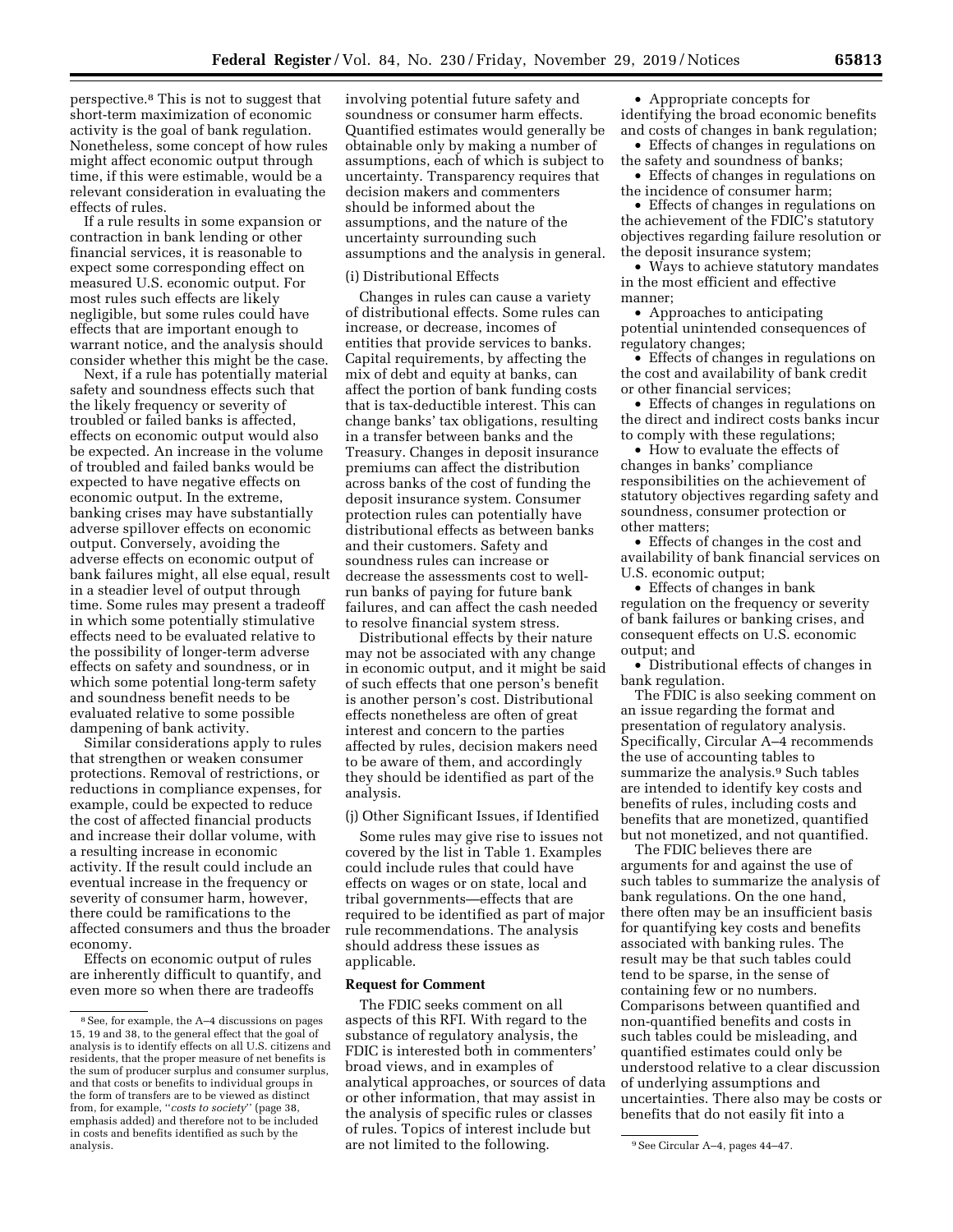perspective.8 This is not to suggest that short-term maximization of economic activity is the goal of bank regulation. Nonetheless, some concept of how rules might affect economic output through time, if this were estimable, would be a relevant consideration in evaluating the effects of rules.

If a rule results in some expansion or contraction in bank lending or other financial services, it is reasonable to expect some corresponding effect on measured U.S. economic output. For most rules such effects are likely negligible, but some rules could have effects that are important enough to warrant notice, and the analysis should consider whether this might be the case.

Next, if a rule has potentially material safety and soundness effects such that the likely frequency or severity of troubled or failed banks is affected, effects on economic output would also be expected. An increase in the volume of troubled and failed banks would be expected to have negative effects on economic output. In the extreme, banking crises may have substantially adverse spillover effects on economic output. Conversely, avoiding the adverse effects on economic output of bank failures might, all else equal, result in a steadier level of output through time. Some rules may present a tradeoff in which some potentially stimulative effects need to be evaluated relative to the possibility of longer-term adverse effects on safety and soundness, or in which some potential long-term safety and soundness benefit needs to be evaluated relative to some possible dampening of bank activity.

Similar considerations apply to rules that strengthen or weaken consumer protections. Removal of restrictions, or reductions in compliance expenses, for example, could be expected to reduce the cost of affected financial products and increase their dollar volume, with a resulting increase in economic activity. If the result could include an eventual increase in the frequency or severity of consumer harm, however, there could be ramifications to the affected consumers and thus the broader economy.

Effects on economic output of rules are inherently difficult to quantify, and even more so when there are tradeoffs

involving potential future safety and soundness or consumer harm effects. Quantified estimates would generally be obtainable only by making a number of assumptions, each of which is subject to uncertainty. Transparency requires that decision makers and commenters should be informed about the assumptions, and the nature of the uncertainty surrounding such assumptions and the analysis in general.

#### (i) Distributional Effects

Changes in rules can cause a variety of distributional effects. Some rules can increase, or decrease, incomes of entities that provide services to banks. Capital requirements, by affecting the mix of debt and equity at banks, can affect the portion of bank funding costs that is tax-deductible interest. This can change banks' tax obligations, resulting in a transfer between banks and the Treasury. Changes in deposit insurance premiums can affect the distribution across banks of the cost of funding the deposit insurance system. Consumer protection rules can potentially have distributional effects as between banks and their customers. Safety and soundness rules can increase or decrease the assessments cost to wellrun banks of paying for future bank failures, and can affect the cash needed to resolve financial system stress.

Distributional effects by their nature may not be associated with any change in economic output, and it might be said of such effects that one person's benefit is another person's cost. Distributional effects nonetheless are often of great interest and concern to the parties affected by rules, decision makers need to be aware of them, and accordingly they should be identified as part of the analysis.

# (j) Other Significant Issues, if Identified

Some rules may give rise to issues not covered by the list in Table 1. Examples could include rules that could have effects on wages or on state, local and tribal governments—effects that are required to be identified as part of major rule recommendations. The analysis should address these issues as applicable.

#### **Request for Comment**

analysis. 9See Circular A–4, pages 44–47. are not limited to the following. The FDIC seeks comment on all aspects of this RFI. With regard to the substance of regulatory analysis, the FDIC is interested both in commenters' broad views, and in examples of analytical approaches, or sources of data or other information, that may assist in the analysis of specific rules or classes of rules. Topics of interest include but

• Appropriate concepts for identifying the broad economic benefits and costs of changes in bank regulation;

• Effects of changes in regulations on the safety and soundness of banks;

• Effects of changes in regulations on the incidence of consumer harm;

• Effects of changes in regulations on the achievement of the FDIC's statutory objectives regarding failure resolution or the deposit insurance system;

• Ways to achieve statutory mandates in the most efficient and effective manner;

• Approaches to anticipating potential unintended consequences of regulatory changes;

• Effects of changes in regulations on the cost and availability of bank credit or other financial services;

• Effects of changes in regulations on the direct and indirect costs banks incur to comply with these regulations;

• How to evaluate the effects of changes in banks' compliance responsibilities on the achievement of statutory objectives regarding safety and soundness, consumer protection or other matters;

• Effects of changes in the cost and availability of bank financial services on U.S. economic output;

• Effects of changes in bank regulation on the frequency or severity of bank failures or banking crises, and consequent effects on U.S. economic output; and

• Distributional effects of changes in bank regulation.

The FDIC is also seeking comment on an issue regarding the format and presentation of regulatory analysis. Specifically, Circular A–4 recommends the use of accounting tables to summarize the analysis.9 Such tables are intended to identify key costs and benefits of rules, including costs and benefits that are monetized, quantified but not monetized, and not quantified.

The FDIC believes there are arguments for and against the use of such tables to summarize the analysis of bank regulations. On the one hand, there often may be an insufficient basis for quantifying key costs and benefits associated with banking rules. The result may be that such tables could tend to be sparse, in the sense of containing few or no numbers. Comparisons between quantified and non-quantified benefits and costs in such tables could be misleading, and quantified estimates could only be understood relative to a clear discussion of underlying assumptions and uncertainties. There also may be costs or benefits that do not easily fit into a

<sup>8</sup>See, for example, the A–4 discussions on pages 15, 19 and 38, to the general effect that the goal of analysis is to identify effects on all U.S. citizens and residents, that the proper measure of net benefits is the sum of producer surplus and consumer surplus, and that costs or benefits to individual groups in the form of transfers are to be viewed as distinct from, for example, ''*costs to society*'' (page 38, emphasis added) and therefore not to be included in costs and benefits identified as such by the